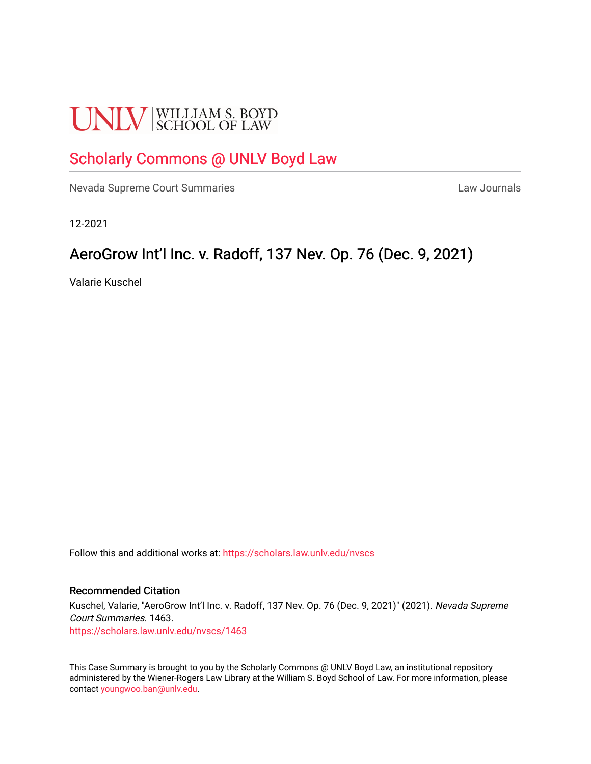# **UNLV** SCHOOL OF LAW

# [Scholarly Commons @ UNLV Boyd Law](https://scholars.law.unlv.edu/)

[Nevada Supreme Court Summaries](https://scholars.law.unlv.edu/nvscs) **Law Journals** Law Journals

12-2021

# AeroGrow Int'l Inc. v. Radoff, 137 Nev. Op. 76 (Dec. 9, 2021)

Valarie Kuschel

Follow this and additional works at: [https://scholars.law.unlv.edu/nvscs](https://scholars.law.unlv.edu/nvscs?utm_source=scholars.law.unlv.edu%2Fnvscs%2F1463&utm_medium=PDF&utm_campaign=PDFCoverPages)

## Recommended Citation

Kuschel, Valarie, "AeroGrow Int'l Inc. v. Radoff, 137 Nev. Op. 76 (Dec. 9, 2021)" (2021). Nevada Supreme Court Summaries. 1463. [https://scholars.law.unlv.edu/nvscs/1463](https://scholars.law.unlv.edu/nvscs/1463?utm_source=scholars.law.unlv.edu%2Fnvscs%2F1463&utm_medium=PDF&utm_campaign=PDFCoverPages) 

This Case Summary is brought to you by the Scholarly Commons @ UNLV Boyd Law, an institutional repository administered by the Wiener-Rogers Law Library at the William S. Boyd School of Law. For more information, please contact [youngwoo.ban@unlv.edu](mailto:youngwoo.ban@unlv.edu).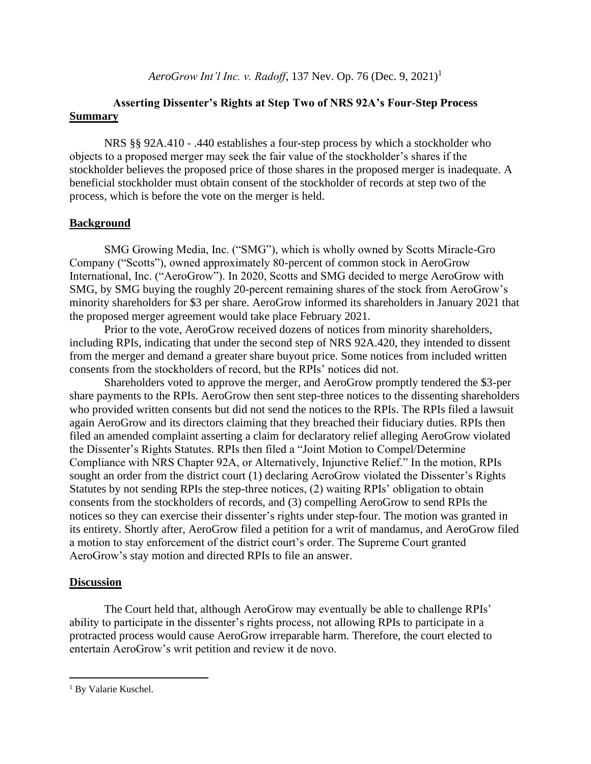# **Asserting Dissenter's Rights at Step Two of NRS 92A's Four-Step Process Summary**

NRS §§ 92A.410 - .440 establishes a four-step process by which a stockholder who objects to a proposed merger may seek the fair value of the stockholder's shares if the stockholder believes the proposed price of those shares in the proposed merger is inadequate. A beneficial stockholder must obtain consent of the stockholder of records at step two of the process, which is before the vote on the merger is held.

## **Background**

SMG Growing Media, Inc. ("SMG"), which is wholly owned by Scotts Miracle-Gro Company ("Scotts"), owned approximately 80-percent of common stock in AeroGrow International, Inc. ("AeroGrow"). In 2020, Scotts and SMG decided to merge AeroGrow with SMG, by SMG buying the roughly 20-percent remaining shares of the stock from AeroGrow's minority shareholders for \$3 per share. AeroGrow informed its shareholders in January 2021 that the proposed merger agreement would take place February 2021.

Prior to the vote, AeroGrow received dozens of notices from minority shareholders, including RPIs, indicating that under the second step of NRS 92A.420, they intended to dissent from the merger and demand a greater share buyout price. Some notices from included written consents from the stockholders of record, but the RPIs' notices did not.

Shareholders voted to approve the merger, and AeroGrow promptly tendered the \$3-per share payments to the RPIs. AeroGrow then sent step-three notices to the dissenting shareholders who provided written consents but did not send the notices to the RPIs. The RPIs filed a lawsuit again AeroGrow and its directors claiming that they breached their fiduciary duties. RPIs then filed an amended complaint asserting a claim for declaratory relief alleging AeroGrow violated the Dissenter's Rights Statutes. RPIs then filed a "Joint Motion to Compel/Determine Compliance with NRS Chapter 92A, or Alternatively, Injunctive Relief." In the motion, RPIs sought an order from the district court (1) declaring AeroGrow violated the Dissenter's Rights Statutes by not sending RPIs the step-three notices, (2) waiting RPIs' obligation to obtain consents from the stockholders of records, and (3) compelling AeroGrow to send RPIs the notices so they can exercise their dissenter's rights under step-four. The motion was granted in its entirety. Shortly after, AeroGrow filed a petition for a writ of mandamus, and AeroGrow filed a motion to stay enforcement of the district court's order. The Supreme Court granted AeroGrow's stay motion and directed RPIs to file an answer.

## **Discussion**

The Court held that, although AeroGrow may eventually be able to challenge RPIs' ability to participate in the dissenter's rights process, not allowing RPIs to participate in a protracted process would cause AeroGrow irreparable harm. Therefore, the court elected to entertain AeroGrow's writ petition and review it de novo.

<sup>&</sup>lt;sup>1</sup> By Valarie Kuschel.